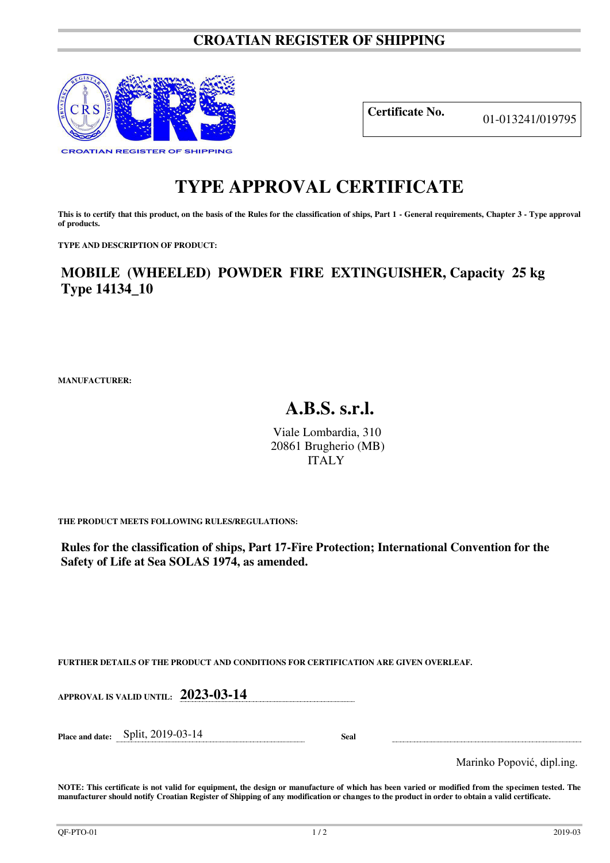## **CROATIAN REGISTER OF SHIPPING**



**Certificate No.** 01-013241/019795

## **TYPE APPROVAL CERTIFICATE**

This is to certify that this product, on the basis of the Rules for the classification of ships, Part 1 - General requirements, Chapter 3 - Type approval **of products.** 

**TYPE AND DESCRIPTION OF PRODUCT:** 

**MOBILE (WHEELED) POWDER FIRE EXTINGUISHER, Capacity 25 kg Type 14134\_10**

**MANUFACTURER:**

## **A.B.S. s.r.l.**

Viale Lombardia, 310 20861 Brugherio (MB) ITALY

**THE PRODUCT MEETS FOLLOWING RULES/REGULATIONS:**

**Rules for the classification of ships, Part 17-Fire Protection; International Convention for the Safety of Life at Sea SOLAS 1974, as amended.**

**FURTHER DETAILS OF THE PRODUCT AND CONDITIONS FOR CERTIFICATION ARE GIVEN OVERLEAF.**

**APPROVAL IS VALID UNTIL: 2023-03-14** 

**Place and date:** Split, 2019-03-14 **Seal** 

Marinko Popović, dipl.ing.

**NOTE: This certificate is not valid for equipment, the design or manufacture of which has been varied or modified from the specimen tested. The manufacturer should notify Croatian Register of Shipping of any modification or changes to the product in order to obtain a valid certificate.**